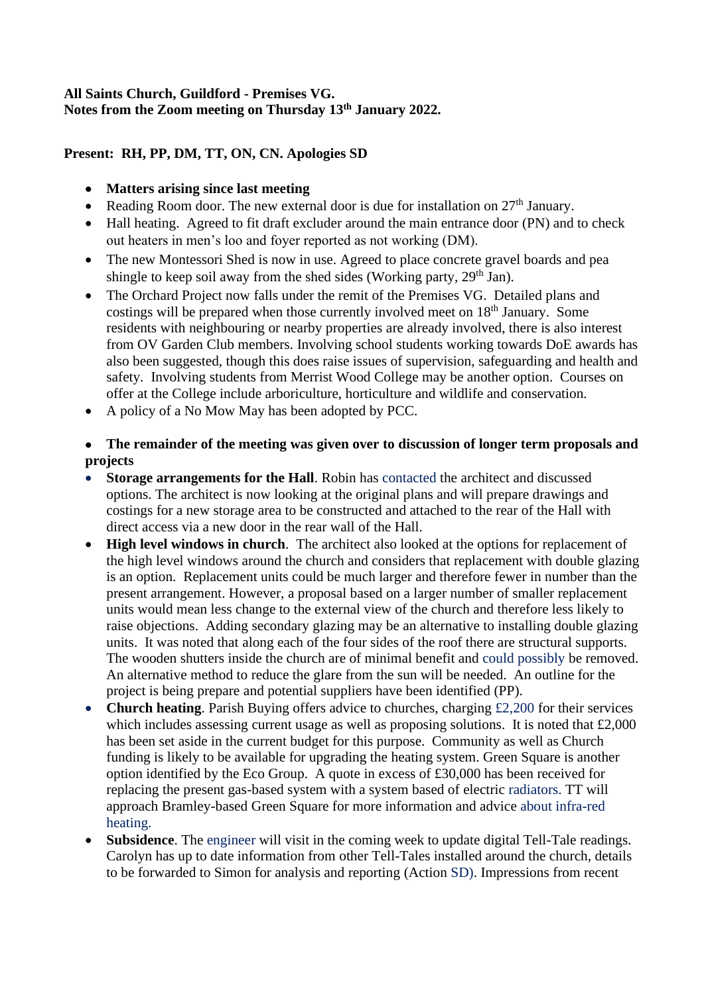## **All Saints Church, Guildford - Premises VG. Notes from the Zoom meeting on Thursday 13th January 2022.**

## **Present: RH, PP, DM, TT, ON, CN. Apologies SD**

- **Matters arising since last meeting**
- Reading Room door. The new external door is due for installation on  $27<sup>th</sup>$  January.
- Hall heating. Agreed to fit draft excluder around the main entrance door (PN) and to check out heaters in men's loo and foyer reported as not working (DM).
- The new Montessori Shed is now in use. Agreed to place concrete gravel boards and pea shingle to keep soil away from the shed sides (Working party,  $29<sup>th</sup>$  Jan).
- The Orchard Project now falls under the remit of the Premises VG. Detailed plans and costings will be prepared when those currently involved meet on  $18<sup>th</sup>$  January. Some residents with neighbouring or nearby properties are already involved, there is also interest from OV Garden Club members. Involving school students working towards DoE awards has also been suggested, though this does raise issues of supervision, safeguarding and health and safety. Involving students from Merrist Wood College may be another option. Courses on offer at the College include arboriculture, horticulture and wildlife and conservation.
- A policy of a No Mow May has been adopted by PCC.

## • **The remainder of the meeting was given over to discussion of longer term proposals and projects**

- **Storage arrangements for the Hall**. Robin has contacted the architect and discussed options. The architect is now looking at the original plans and will prepare drawings and costings for a new storage area to be constructed and attached to the rear of the Hall with direct access via a new door in the rear wall of the Hall.
- **High level windows in church**. The architect also looked at the options for replacement of the high level windows around the church and considers that replacement with double glazing is an option. Replacement units could be much larger and therefore fewer in number than the present arrangement. However, a proposal based on a larger number of smaller replacement units would mean less change to the external view of the church and therefore less likely to raise objections. Adding secondary glazing may be an alternative to installing double glazing units. It was noted that along each of the four sides of the roof there are structural supports. The wooden shutters inside the church are of minimal benefit and could possibly be removed. An alternative method to reduce the glare from the sun will be needed. An outline for the project is being prepare and potential suppliers have been identified (PP).
- **Church heating**. Parish Buying offers advice to churches, charging £2,200 for their services which includes assessing current usage as well as proposing solutions. It is noted that £2,000 has been set aside in the current budget for this purpose. Community as well as Church funding is likely to be available for upgrading the heating system. Green Square is another option identified by the Eco Group. A quote in excess of £30,000 has been received for replacing the present gas-based system with a system based of electric radiators. TT will approach Bramley-based Green Square for more information and advice about infra-red heating.
- **Subsidence**. The engineer will visit in the coming week to update digital Tell-Tale readings. Carolyn has up to date information from other Tell-Tales installed around the church, details to be forwarded to Simon for analysis and reporting (Action SD). Impressions from recent